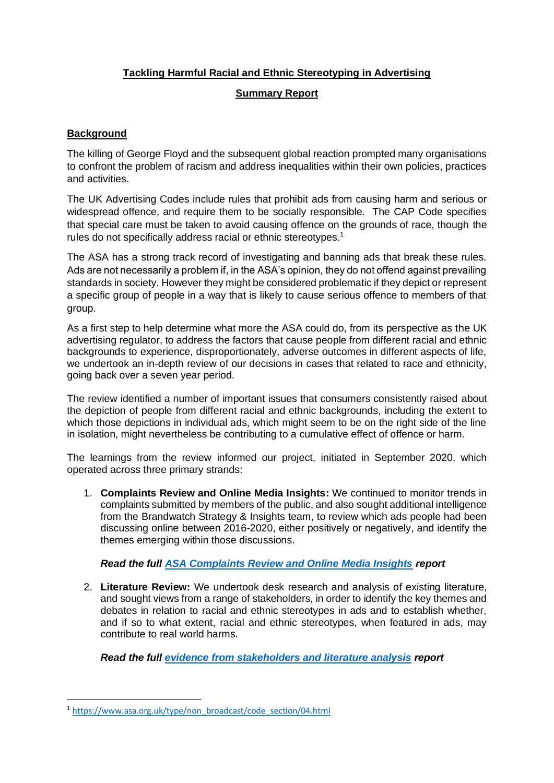## **Tackling Harmful Racial and Ethnic Stereotyping in Advertising**

#### **Summary Report**

# **Background**

The killing of George Floyd and the subsequent global reaction prompted many organisations to confront the problem of racism and address inequalities within their own policies, practices and activities.

The UK Advertising Codes include rules that prohibit ads from causing harm and serious or widespread offence, and require them to be socially responsible. The CAP Code specifies that special care must be taken to avoid causing offence on the grounds of race, though the rules do not specifically address racial or ethnic stereotypes.<sup>1</sup>

The ASA has a strong track record of investigating and banning ads that break these rules. Ads are not necessarily a problem if, in the ASA's opinion, they do not offend against prevailing standards in society. However they might be considered problematic if they depict or represent a specific group of people in a way that is likely to cause serious offence to members of that group.

As a first step to help determine what more the ASA could do, from its perspective as the UK advertising regulator, to address the factors that cause people from different racial and ethnic backgrounds to experience, disproportionately, adverse outcomes in different aspects of life, we undertook an in-depth review of our decisions in cases that related to race and ethnicity, going back over a seven year period.

The review identified a number of important issues that consumers consistently raised about the depiction of people from different racial and ethnic backgrounds, including the extent to which those depictions in individual ads, which might seem to be on the right side of the line in isolation, might nevertheless be contributing to a cumulative effect of offence or harm.

The learnings from the review informed our project, initiated in September 2020, which operated across three primary strands:

1. **Complaints Review and Online Media Insights:** We continued to monitor trends in complaints submitted by members of the public, and also sought additional intelligence from the Brandwatch Strategy & Insights team, to review which ads people had been discussing online between 2016-2020, either positively or negatively, and identify the themes emerging within those discussions.

*Read the full [ASA Complaints Review and Online Media Insights](https://www.asa.org.uk/static/31ed43c6-4ca4-4244-8648707e628321e6/ASA-RES-Complaints-Review-and-Media-Monitoring-Insights.pdf) report*

2. **Literature Review:** We undertook desk research and analysis of existing literature, and sought views from a range of stakeholders, in order to identify the key themes and debates in relation to racial and ethnic stereotypes in ads and to establish whether, and if so to what extent, racial and ethnic stereotypes, when featured in ads, may contribute to real world harms.

*Read the full [evidence from stakeholders and literature analysis](https://www.asa.org.uk/static/e9b45891-56c1-4fd3-9a7fc1765562e573/ASA-RES-CfE-LR-Report-Final.pdf) report* 

<sup>1</sup> [https://www.asa.org.uk/type/non\\_broadcast/code\\_section/04.html](https://www.asa.org.uk/type/non_broadcast/code_section/04.html)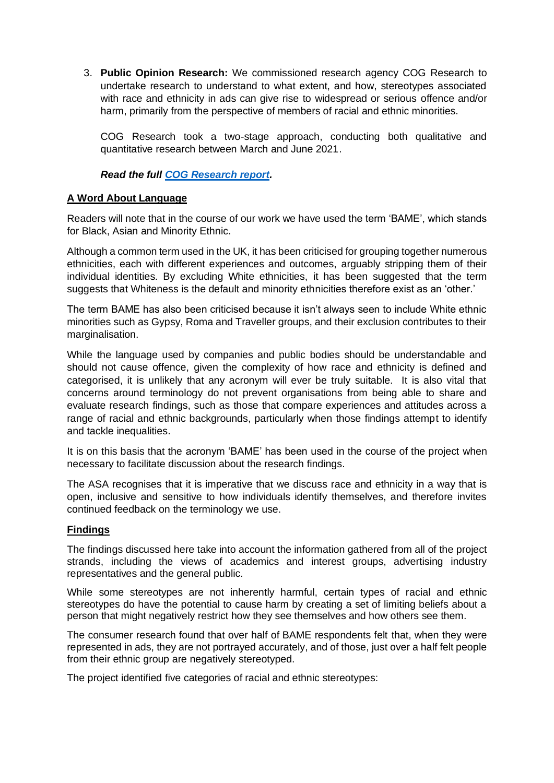3. **Public Opinion Research:** We commissioned research agency COG Research to undertake research to understand to what extent, and how, stereotypes associated with race and ethnicity in ads can give rise to widespread or serious offence and/or harm, primarily from the perspective of members of racial and ethnic minorities.

COG Research took a two-stage approach, conducting both qualitative and quantitative research between March and June 2021.

#### *Read the full [COG Research report.](https://www.asa.org.uk/static/3cf6ba4a-67a4-4992-aae39888f6687e94/ASA-RES-research-report.pdf)*

#### **A Word About Language**

Readers will note that in the course of our work we have used the term 'BAME', which stands for Black, Asian and Minority Ethnic.

Although a common term used in the UK, it has been criticised for grouping together numerous ethnicities, each with different experiences and outcomes, arguably stripping them of their individual identities. By excluding White ethnicities, it has been suggested that the term suggests that Whiteness is the default and minority ethnicities therefore exist as an 'other.'

The term BAME has also been criticised because it isn't always seen to include White ethnic minorities such as Gypsy, Roma and Traveller groups, and their exclusion contributes to their marginalisation.

While the language used by companies and public bodies should be understandable and should not cause offence, given the complexity of how race and ethnicity is defined and categorised, it is unlikely that any acronym will ever be truly suitable. It is also vital that concerns around terminology do not prevent organisations from being able to share and evaluate research findings, such as those that compare experiences and attitudes across a range of racial and ethnic backgrounds, particularly when those findings attempt to identify and tackle inequalities.

It is on this basis that the acronym 'BAME' has been used in the course of the project when necessary to facilitate discussion about the research findings.

The ASA recognises that it is imperative that we discuss race and ethnicity in a way that is open, inclusive and sensitive to how individuals identify themselves, and therefore invites continued feedback on the terminology we use.

#### **Findings**

The findings discussed here take into account the information gathered from all of the project strands, including the views of academics and interest groups, advertising industry representatives and the general public.

While some stereotypes are not inherently harmful, certain types of racial and ethnic stereotypes do have the potential to cause harm by creating a set of limiting beliefs about a person that might negatively restrict how they see themselves and how others see them.

The consumer research found that over half of BAME respondents felt that, when they were represented in ads, they are not portrayed accurately, and of those, just over a half felt people from their ethnic group are negatively stereotyped.

The project identified five categories of racial and ethnic stereotypes: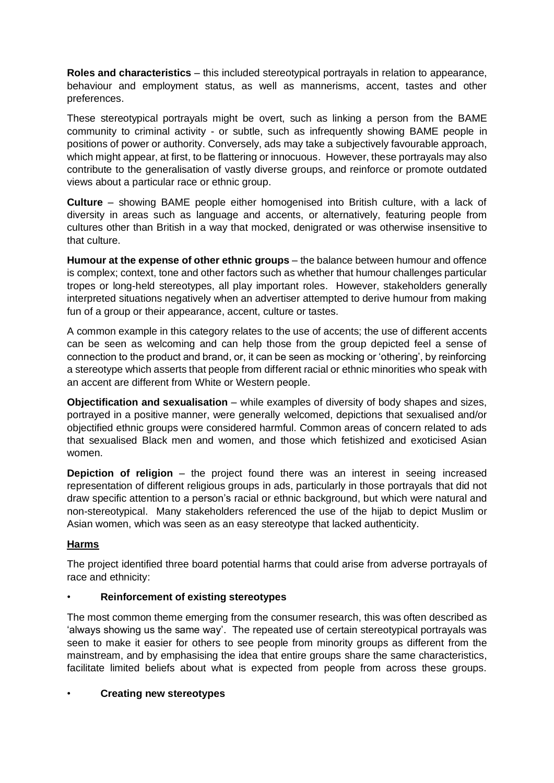**Roles and characteristics** – this included stereotypical portrayals in relation to appearance, behaviour and employment status, as well as mannerisms, accent, tastes and other preferences.

These stereotypical portrayals might be overt, such as linking a person from the BAME community to criminal activity - or subtle, such as infrequently showing BAME people in positions of power or authority. Conversely, ads may take a subjectively favourable approach, which might appear, at first, to be flattering or innocuous. However, these portrayals may also contribute to the generalisation of vastly diverse groups, and reinforce or promote outdated views about a particular race or ethnic group.

**Culture** – showing BAME people either homogenised into British culture, with a lack of diversity in areas such as language and accents, or alternatively, featuring people from cultures other than British in a way that mocked, denigrated or was otherwise insensitive to that culture.

**Humour at the expense of other ethnic groups** – the balance between humour and offence is complex; context, tone and other factors such as whether that humour challenges particular tropes or long-held stereotypes, all play important roles. However, stakeholders generally interpreted situations negatively when an advertiser attempted to derive humour from making fun of a group or their appearance, accent, culture or tastes.

A common example in this category relates to the use of accents; the use of different accents can be seen as welcoming and can help those from the group depicted feel a sense of connection to the product and brand, or, it can be seen as mocking or 'othering', by reinforcing a stereotype which asserts that people from different racial or ethnic minorities who speak with an accent are different from White or Western people.

**Objectification and sexualisation** – while examples of diversity of body shapes and sizes, portrayed in a positive manner, were generally welcomed, depictions that sexualised and/or objectified ethnic groups were considered harmful. Common areas of concern related to ads that sexualised Black men and women, and those which fetishized and exoticised Asian women.

**Depiction of religion** – the project found there was an interest in seeing increased representation of different religious groups in ads, particularly in those portrayals that did not draw specific attention to a person's racial or ethnic background, but which were natural and non-stereotypical. Many stakeholders referenced the use of the hijab to depict Muslim or Asian women, which was seen as an easy stereotype that lacked authenticity.

### **Harms**

The project identified three board potential harms that could arise from adverse portrayals of race and ethnicity:

### • **Reinforcement of existing stereotypes**

The most common theme emerging from the consumer research, this was often described as 'always showing us the same way'. The repeated use of certain stereotypical portrayals was seen to make it easier for others to see people from minority groups as different from the mainstream, and by emphasising the idea that entire groups share the same characteristics, facilitate limited beliefs about what is expected from people from across these groups.

### • **Creating new stereotypes**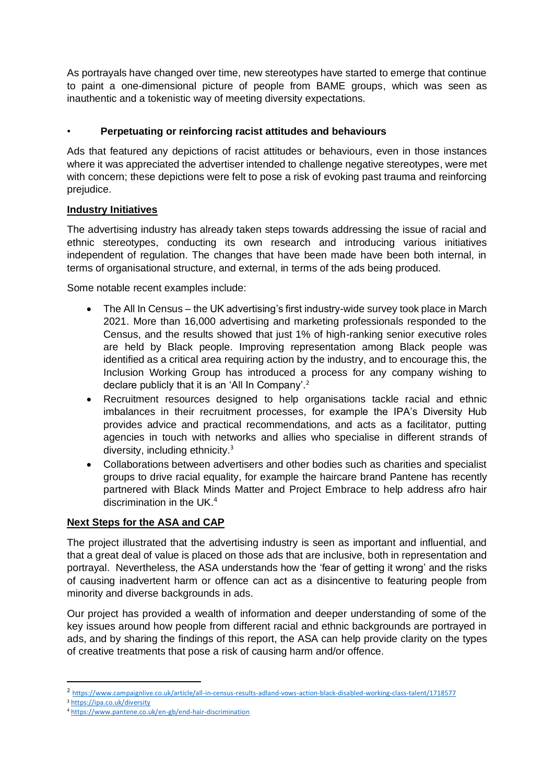As portrayals have changed over time, new stereotypes have started to emerge that continue to paint a one-dimensional picture of people from BAME groups, which was seen as inauthentic and a tokenistic way of meeting diversity expectations.

## • **Perpetuating or reinforcing racist attitudes and behaviours**

Ads that featured any depictions of racist attitudes or behaviours, even in those instances where it was appreciated the advertiser intended to challenge negative stereotypes, were met with concern; these depictions were felt to pose a risk of evoking past trauma and reinforcing prejudice.

### **Industry Initiatives**

The advertising industry has already taken steps towards addressing the issue of racial and ethnic stereotypes, conducting its own research and introducing various initiatives independent of regulation. The changes that have been made have been both internal, in terms of organisational structure, and external, in terms of the ads being produced.

Some notable recent examples include:

- The All In Census the UK advertising's first industry-wide survey took place in March 2021. More than 16,000 advertising and marketing professionals responded to the Census, and the results showed that just 1% of high-ranking senior executive roles are held by Black people. Improving representation among Black people was identified as a critical area requiring action by the industry, and to encourage this, the Inclusion Working Group has introduced a process for any company wishing to declare publicly that it is an 'All In Company'.<sup>2</sup>
- Recruitment resources designed to help organisations tackle racial and ethnic imbalances in their recruitment processes, for example the IPA's Diversity Hub provides advice and practical recommendations, and acts as a facilitator, putting agencies in touch with networks and allies who specialise in different strands of diversity, including ethnicity.<sup>3</sup>
- Collaborations between advertisers and other bodies such as charities and specialist groups to drive racial equality, for example the haircare brand Pantene has recently partnered with Black Minds Matter and Project Embrace to help address afro hair discrimination in the UK.<sup>4</sup>

### **Next Steps for the ASA and CAP**

The project illustrated that the advertising industry is seen as important and influential, and that a great deal of value is placed on those ads that are inclusive, both in representation and portrayal. Nevertheless, the ASA understands how the 'fear of getting it wrong' and the risks of causing inadvertent harm or offence can act as a disincentive to featuring people from minority and diverse backgrounds in ads.

Our project has provided a wealth of information and deeper understanding of some of the key issues around how people from different racial and ethnic backgrounds are portrayed in ads, and by sharing the findings of this report, the ASA can help provide clarity on the types of creative treatments that pose a risk of causing harm and/or offence.

<sup>2</sup> <https://www.campaignlive.co.uk/article/all-in-census-results-adland-vows-action-black-disabled-working-class-talent/1718577>

<sup>3</sup> <https://ipa.co.uk/diversity>

<sup>4</sup> <https://www.pantene.co.uk/en-gb/end-hair-discrimination>